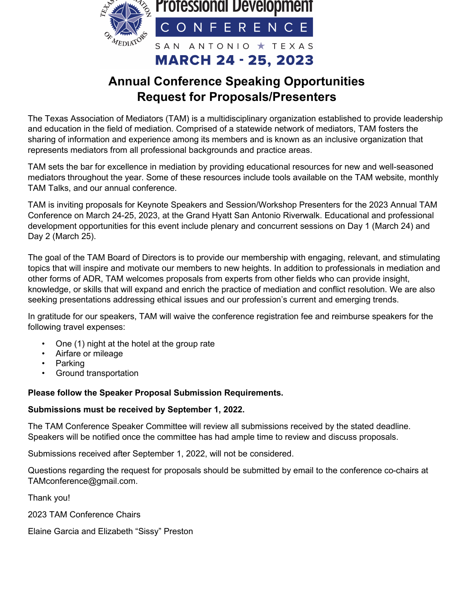

# **Annual Conference Speaking Opportunities Request for Proposals/Presenters**

The Texas Association of Mediators (TAM) is a multidisciplinary organization established to provide leadership and education in the field of mediation. Comprised of a statewide network of mediators, TAM fosters the sharing of information and experience among its members and is known as an inclusive organization that represents mediators from all professional backgrounds and practice areas.

TAM sets the bar for excellence in mediation by providing educational resources for new and well-seasoned mediators throughout the year. Some of these resources include tools available on the TAM website, monthly TAM Talks, and our annual conference.

TAM is inviting proposals for Keynote Speakers and Session/Workshop Presenters for the 2023 Annual TAM Conference on March 24-25, 2023, at the Grand Hyatt San Antonio Riverwalk. Educational and professional development opportunities for this event include plenary and concurrent sessions on Day 1 (March 24) and Day 2 (March 25).

The goal of the TAM Board of Directors is to provide our membership with engaging, relevant, and stimulating topics that will inspire and motivate our members to new heights. In addition to professionals in mediation and other forms of ADR, TAM welcomes proposals from experts from other fields who can provide insight, knowledge, or skills that will expand and enrich the practice of mediation and conflict resolution. We are also seeking presentations addressing ethical issues and our profession's current and emerging trends.

In gratitude for our speakers, TAM will waive the conference registration fee and reimburse speakers for the following travel expenses:

- One (1) night at the hotel at the group rate
- Airfare or mileage
- **Parking**
- Ground transportation

### **Please follow the Speaker Proposal Submission Requirements.**

#### **Submissions must be received by September 1, 2022.**

The TAM Conference Speaker Committee will review all submissions received by the stated deadline. Speakers will be notified once the committee has had ample time to review and discuss proposals.

Submissions received after September 1, 2022, will not be considered.

Questions regarding the request for proposals should be submitted by email to the conference co-chairs at TAMconference@gmail.com.

Thank you!

2023 TAM Conference Chairs

Elaine Garcia and Elizabeth "Sissy" Preston